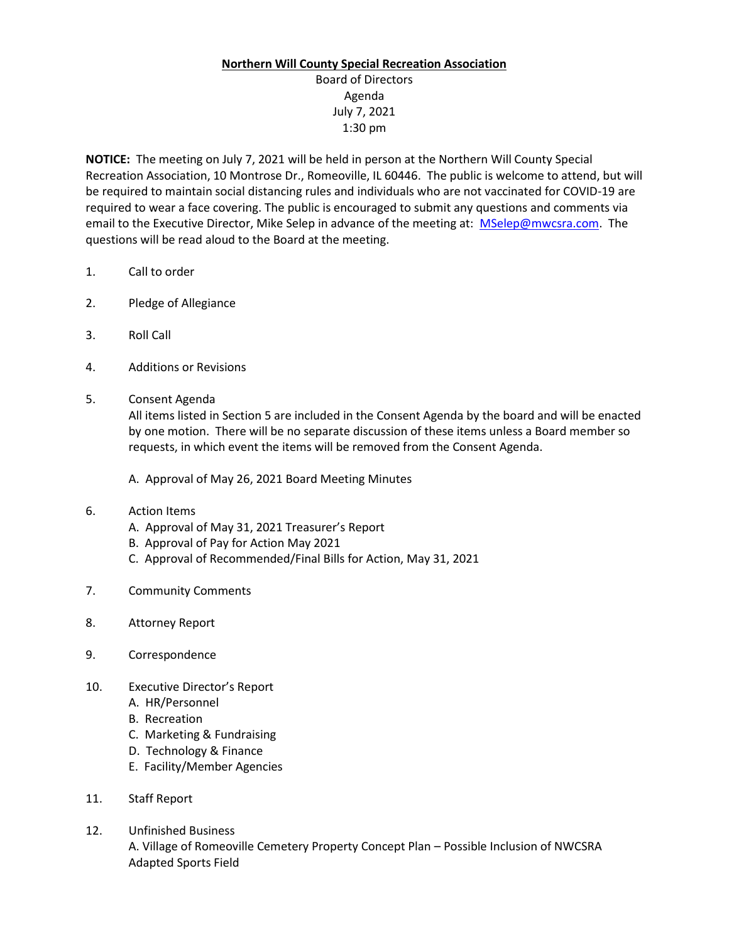## **Northern Will County Special Recreation Association**

## Board of Directors Agenda July 7, 2021 1:30 pm

**NOTICE:** The meeting on July 7, 2021 will be held in person at the Northern Will County Special Recreation Association, 10 Montrose Dr., Romeoville, IL 60446. The public is welcome to attend, but will be required to maintain social distancing rules and individuals who are not vaccinated for COVID-19 are required to wear a face covering. The public is encouraged to submit any questions and comments via email to the Executive Director, Mike Selep in advance of the meeting at: [MSelep@mwcsra.com.](mailto:MSelep@mwcsra.com) The questions will be read aloud to the Board at the meeting.

- 1. Call to order
- 2. Pledge of Allegiance
- 3. Roll Call
- 4. Additions or Revisions
- 5. Consent Agenda

All items listed in Section 5 are included in the Consent Agenda by the board and will be enacted by one motion. There will be no separate discussion of these items unless a Board member so requests, in which event the items will be removed from the Consent Agenda.

A. Approval of May 26, 2021 Board Meeting Minutes

- 6. Action Items
	- A. Approval of May 31, 2021 Treasurer's Report
	- B. Approval of Pay for Action May 2021
	- C. Approval of Recommended/Final Bills for Action, May 31, 2021
- 7. Community Comments
- 8. Attorney Report
- 9. Correspondence
- 10. Executive Director's Report
	- A. HR/Personnel
	- B. Recreation
	- C. Marketing & Fundraising
	- D. Technology & Finance
	- E. Facility/Member Agencies
- 11. Staff Report
- 12. Unfinished Business A. Village of Romeoville Cemetery Property Concept Plan – Possible Inclusion of NWCSRA Adapted Sports Field